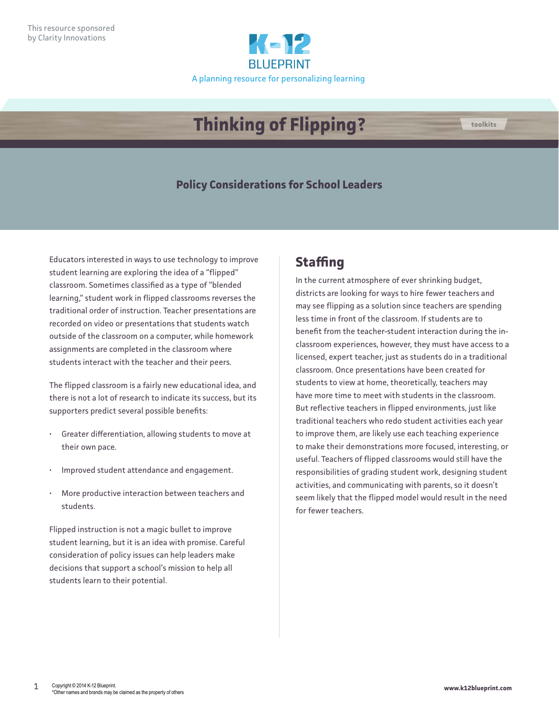

# **Thinking of Flipping? the coolkits**

#### **Policy Considerations for School Leaders**

Educators interested in ways to use technology to improve student learning are exploring the idea of a "flipped" classroom. Sometimes classified as a type of "blended learning," student work in flipped classrooms reverses the traditional order of instruction. Teacher presentations are recorded on video or presentations that students watch outside of the classroom on a computer, while homework assignments are completed in the classroom where students interact with the teacher and their peers.

The flipped classroom is a fairly new educational idea, and there is not a lot of research to indicate its success, but its supporters predict several possible benefits:

- Greater differentiation, allowing students to move at their own pace.
- Improved student attendance and engagement.
- More productive interaction between teachers and students.

Flipped instruction is not a magic bullet to improve student learning, but it is an idea with promise. Careful consideration of policy issues can help leaders make decisions that support a school's mission to help all students learn to their potential.

#### **Staffing**

In the current atmosphere of ever shrinking budget, districts are looking for ways to hire fewer teachers and may see flipping as a solution since teachers are spending less time in front of the classroom. If students are to benefit from the teacher-student interaction during the inclassroom experiences, however, they must have access to a licensed, expert teacher, just as students do in a traditional classroom. Once presentations have been created for students to view at home, theoretically, teachers may have more time to meet with students in the classroom. But reflective teachers in flipped environments, just like traditional teachers who redo student activities each year to improve them, are likely use each teaching experience to make their demonstrations more focused, interesting, or useful. Teachers of flipped classrooms would still have the responsibilities of grading student work, designing student activities, and communicating with parents, so it doesn't seem likely that the flipped model would result in the need for fewer teachers.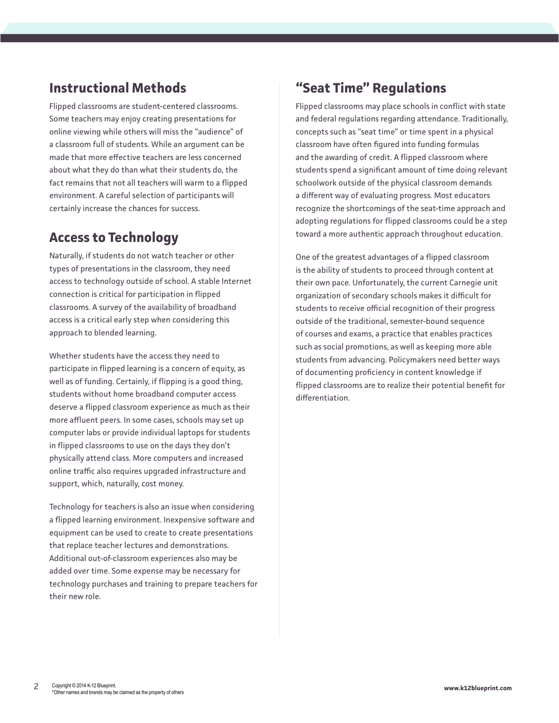### **Instructional Methods**

Flipped classrooms are student-centered classrooms. Some teachers may enjoy creating presentations for online viewing while others will miss the "audience" of a classroom full of students. While an argument can be made that more effective teachers are less concerned about what they do than what their students do, the fact remains that not all teachers will warm to a flipped environment. A careful selection of participants will certainly increase the chances for success.

#### **Access to Technology**

Naturally, if students do not watch teacher or other types of presentations in the classroom, they need access to technology outside of school. A stable Internet connection is critical for participation in flipped classrooms. A survey of the availability of broadband access is a critical early step when considering this approach to blended learning.

Whether students have the access they need to participate in flipped learning is a concern of equity, as well as of funding. Certainly, if flipping is a good thing, students without home broadband computer access deserve a flipped classroom experience as much as their more affluent peers. In some cases, schools may set up computer labs or provide individual laptops for students in flipped classrooms to use on the days they don't physically attend class. More computers and increased online traffic also requires upgraded infrastructure and support, which, naturally, cost money.

Technology for teachers is also an issue when considering a flipped learning environment. Inexpensive software and equipment can be used to create to create presentations that replace teacher lectures and demonstrations. Additional out-of-classroom experiences also may be added over time. Some expense may be necessary for technology purchases and training to prepare teachers for their new role.

### **"Seat Time" Regulations**

Flipped classrooms may place schools in conflict with state and federal regulations regarding attendance. Traditionally, concepts such as "seat time" or time spent in a physical classroom have often figured into funding formulas and the awarding of credit. A flipped classroom where students spend a significant amount of time doing relevant schoolwork outside of the physical classroom demands a different way of evaluating progress. Most educators recognize the shortcomings of the seat-time approach and adopting regulations for flipped classrooms could be a step toward a more authentic approach throughout education.

One of the greatest advantages of a flipped classroom is the ability of students to proceed through content at their own pace. Unfortunately, the current Carnegie unit organization of secondary schools makes it difficult for students to receive official recognition of their progress outside of the traditional, semester-bound sequence of courses and exams, a practice that enables practices such as social promotions, as well as keeping more able students from advancing. Policymakers need better ways of documenting proficiency in content knowledge if flipped classrooms are to realize their potential benefit for differentiation.